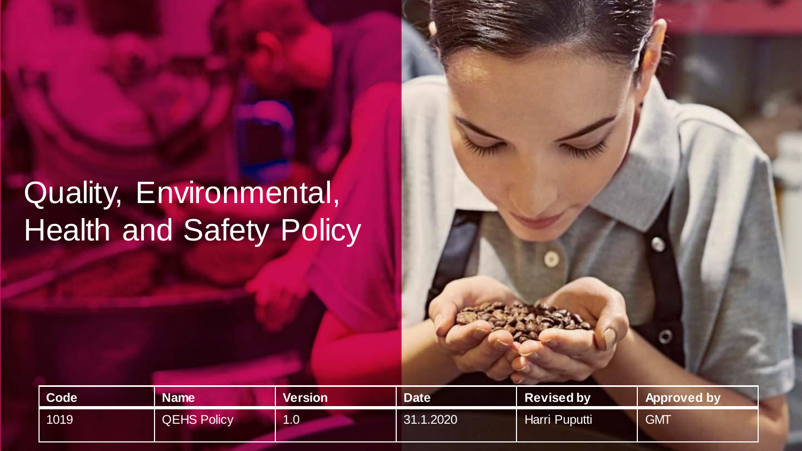# Quality, Environmental, Health and Safety Policy

| Code <sup>1</sup> | <b>Name</b>        | <b>Version</b>        | <b>Date</b> | <b>Revised by</b> | Approved by |
|-------------------|--------------------|-----------------------|-------------|-------------------|-------------|
| 1019              | <b>QEHS Policy</b> | 1.0 <sub>1</sub><br>и | 31.1.2020   | Harri Puputti     | <b>GMT</b>  |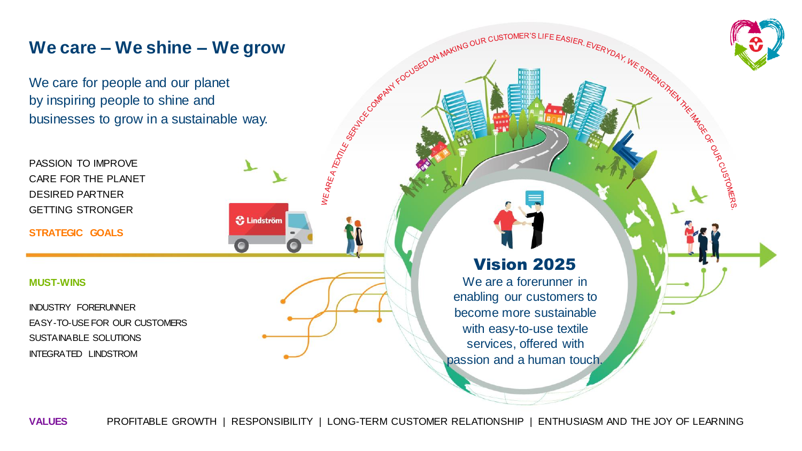**We care – We shine – We grow**<br>
We care for people and our planet<br>
by inspiring people to shine and<br>
businesses to grow in a sustainable way.<br>
PASSION TO IMPROVE<br>
CARE FOR THE PLANET<br>
DESIRED PARTNER<br>
DESIRED PARTNER We care for people and our planet by inspiring people to shine and businesses to grow in a sustainable way.

**S** Lindström

PASSION TO IMPROVE CARE FOR THE PLANET DESIRED PARTNER GETTING STRONGER

**STRATEGIC GOALS**

### **MUST-WINS**

INDUSTRY FORERUNNER EASY-TO-USE FOR OUR CUSTOMERS SUSTAINABLE SOLUTIONS INTEGRATED LINDSTROM

### Vision 2025

N THE REPORT OF DRIVER WITH THE

We are a forerunner in enabling our customers to become more sustainable with easy-to-use textile services, offered with passion and a human touch.

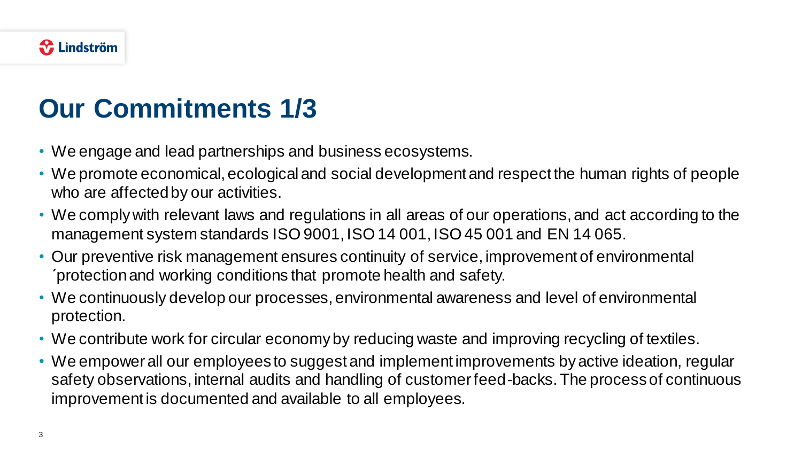## **Our Commitments 1/3**

- We engage and lead partnerships and business ecosystems.
- We promote economical, ecological and social development and respect the human rights of people who are affected by our activities.
- We comply with relevant laws and regulations in all areas of our operations, and act according to the management system standards ISO 9001, ISO 14 001, ISO 45 001 and EN 14 065.
- Our preventive risk management ensures continuity of service, improvement of environmental ´protection and working conditions that promote health and safety.
- We continuously develop our processes, environmental awareness and level of environmental protection.
- We contribute work for circular economy by reducing waste and improving recycling of textiles.
- We empower all our employees to suggest and implement improvements by active ideation, regular safety observations, internal audits and handling of customer feed-backs. The process of continuous improvement is documented and available to all employees.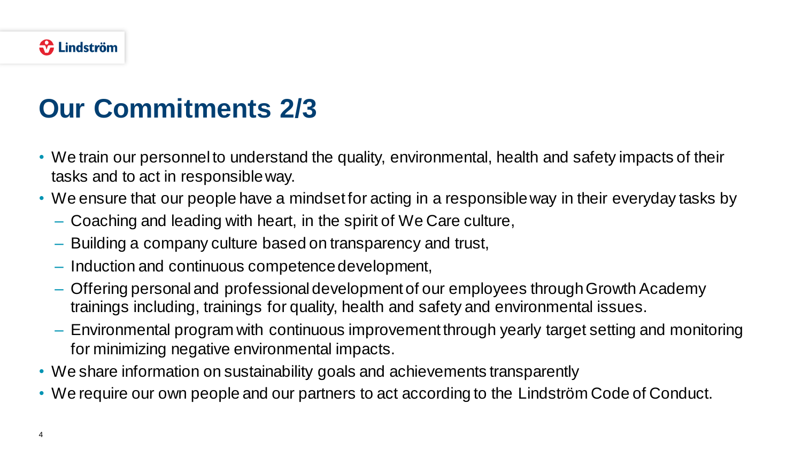### **Our Commitments 2/3**

- We train our personnel to understand the quality, environmental, health and safety impacts of their tasks and to act in responsible way.
- We ensure that our people have a mindset for acting in a responsible way in their everyday tasks by
	- Coaching and leading with heart, in the spirit of We Care culture,
	- Building a company culture based on transparency and trust,
	- Induction and continuous competence development,
	- Offering personal and professional development of our employees through Growth Academy trainings including, trainings for quality, health and safety and environmental issues.
	- Environmental program with continuous improvement through yearly target setting and monitoring for minimizing negative environmental impacts.
- We share information on sustainability goals and achievements transparently
- We require our own people and our partners to act according to the Lindström Code of Conduct.